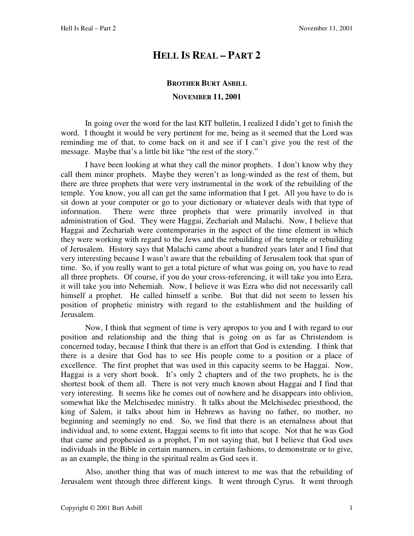## **HELL IS REAL – PART 2**

## **BROTHER BURT ASBILL NOVEMBER 11, 2001**

In going over the word for the last KIT bulletin, I realized I didn't get to finish the word. I thought it would be very pertinent for me, being as it seemed that the Lord was reminding me of that, to come back on it and see if I can't give you the rest of the message. Maybe that's a little bit like "the rest of the story."

 I have been looking at what they call the minor prophets. I don't know why they call them minor prophets. Maybe they weren't as long-winded as the rest of them, but there are three prophets that were very instrumental in the work of the rebuilding of the temple. You know, you all can get the same information that I get. All you have to do is sit down at your computer or go to your dictionary or whatever deals with that type of information. There were three prophets that were primarily involved in that administration of God. They were Haggai, Zechariah and Malachi. Now, I believe that Haggai and Zechariah were contemporaries in the aspect of the time element in which they were working with regard to the Jews and the rebuilding of the temple or rebuilding of Jerusalem. History says that Malachi came about a hundred years later and I find that very interesting because I wasn't aware that the rebuilding of Jerusalem took that span of time. So, if you really want to get a total picture of what was going on, you have to read all three prophets. Of course, if you do your cross-referencing, it will take you into Ezra, it will take you into Nehemiah. Now, I believe it was Ezra who did not necessarily call himself a prophet. He called himself a scribe. But that did not seem to lessen his position of prophetic ministry with regard to the establishment and the building of Jerusalem.

 Now, I think that segment of time is very apropos to you and I with regard to our position and relationship and the thing that is going on as far as Christendom is concerned today, because I think that there is an effort that God is extending. I think that there is a desire that God has to see His people come to a position or a place of excellence. The first prophet that was used in this capacity seems to be Haggai. Now, Haggai is a very short book. It's only 2 chapters and of the two prophets, he is the shortest book of them all. There is not very much known about Haggai and I find that very interesting. It seems like he comes out of nowhere and he disappears into oblivion, somewhat like the Melchisedec ministry. It talks about the Melchisedec priesthood, the king of Salem, it talks about him in Hebrews as having no father, no mother, no beginning and seemingly no end. So, we find that there is an eternalness about that individual and, to some extent, Haggai seems to fit into that scope. Not that he was God that came and prophesied as a prophet, I'm not saying that, but I believe that God uses individuals in the Bible in certain manners, in certain fashions, to demonstrate or to give, as an example, the thing in the spiritual realm as God sees it.

 Also, another thing that was of much interest to me was that the rebuilding of Jerusalem went through three different kings. It went through Cyrus. It went through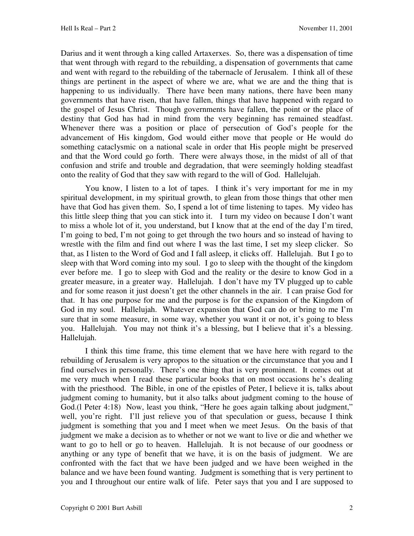Darius and it went through a king called Artaxerxes. So, there was a dispensation of time that went through with regard to the rebuilding, a dispensation of governments that came and went with regard to the rebuilding of the tabernacle of Jerusalem. I think all of these things are pertinent in the aspect of where we are, what we are and the thing that is happening to us individually. There have been many nations, there have been many governments that have risen, that have fallen, things that have happened with regard to the gospel of Jesus Christ. Though governments have fallen, the point or the place of destiny that God has had in mind from the very beginning has remained steadfast. Whenever there was a position or place of persecution of God's people for the advancement of His kingdom, God would either move that people or He would do something cataclysmic on a national scale in order that His people might be preserved and that the Word could go forth. There were always those, in the midst of all of that confusion and strife and trouble and degradation, that were seemingly holding steadfast onto the reality of God that they saw with regard to the will of God. Hallelujah.

 You know, I listen to a lot of tapes. I think it's very important for me in my spiritual development, in my spiritual growth, to glean from those things that other men have that God has given them. So, I spend a lot of time listening to tapes. My video has this little sleep thing that you can stick into it. I turn my video on because I don't want to miss a whole lot of it, you understand, but I know that at the end of the day I'm tired, I'm going to bed, I'm not going to get through the two hours and so instead of having to wrestle with the film and find out where I was the last time, I set my sleep clicker. So that, as I listen to the Word of God and I fall asleep, it clicks off. Hallelujah. But I go to sleep with that Word coming into my soul. I go to sleep with the thought of the kingdom ever before me. I go to sleep with God and the reality or the desire to know God in a greater measure, in a greater way. Hallelujah. I don't have my TV plugged up to cable and for some reason it just doesn't get the other channels in the air. I can praise God for that. It has one purpose for me and the purpose is for the expansion of the Kingdom of God in my soul. Hallelujah. Whatever expansion that God can do or bring to me I'm sure that in some measure, in some way, whether you want it or not, it's going to bless you. Hallelujah. You may not think it's a blessing, but I believe that it's a blessing. Hallelujah.

 I think this time frame, this time element that we have here with regard to the rebuilding of Jerusalem is very apropos to the situation or the circumstance that you and I find ourselves in personally. There's one thing that is very prominent. It comes out at me very much when I read these particular books that on most occasions he's dealing with the priesthood. The Bible, in one of the epistles of Peter, I believe it is, talks about judgment coming to humanity, but it also talks about judgment coming to the house of God.(1 Peter 4:18) Now, least you think, "Here he goes again talking about judgment," well, you're right. I'll just relieve you of that speculation or guess, because I think judgment is something that you and I meet when we meet Jesus. On the basis of that judgment we make a decision as to whether or not we want to live or die and whether we want to go to hell or go to heaven. Hallelujah. It is not because of our goodness or anything or any type of benefit that we have, it is on the basis of judgment. We are confronted with the fact that we have been judged and we have been weighed in the balance and we have been found wanting. Judgment is something that is very pertinent to you and I throughout our entire walk of life. Peter says that you and I are supposed to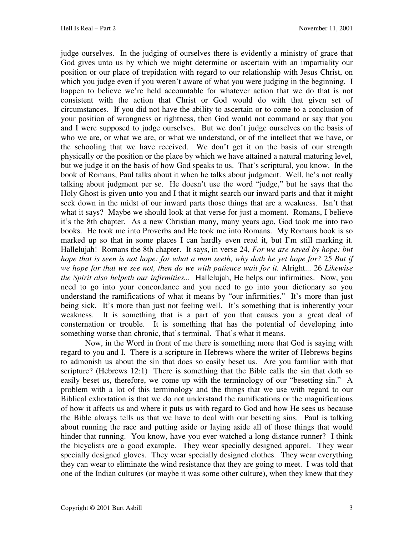judge ourselves. In the judging of ourselves there is evidently a ministry of grace that God gives unto us by which we might determine or ascertain with an impartiality our position or our place of trepidation with regard to our relationship with Jesus Christ, on which you judge even if you weren't aware of what you were judging in the beginning. I happen to believe we're held accountable for whatever action that we do that is not consistent with the action that Christ or God would do with that given set of circumstances. If you did not have the ability to ascertain or to come to a conclusion of your position of wrongness or rightness, then God would not command or say that you and I were supposed to judge ourselves. But we don't judge ourselves on the basis of who we are, or what we are, or what we understand, or of the intellect that we have, or the schooling that we have received. We don't get it on the basis of our strength physically or the position or the place by which we have attained a natural maturing level, but we judge it on the basis of how God speaks to us. That's scriptural, you know. In the book of Romans, Paul talks about it when he talks about judgment. Well, he's not really talking about judgment per se. He doesn't use the word "judge," but he says that the Holy Ghost is given unto you and I that it might search our inward parts and that it might seek down in the midst of our inward parts those things that are a weakness. Isn't that what it says? Maybe we should look at that verse for just a moment. Romans, I believe it's the 8th chapter. As a new Christian many, many years ago, God took me into two books. He took me into Proverbs and He took me into Romans. My Romans book is so marked up so that in some places I can hardly even read it, but I'm still marking it. Hallelujah! Romans the 8th chapter. It says, in verse 24, *For we are saved by hope: but hope that is seen is not hope: for what a man seeth, why doth he yet hope for?* 25 *But if we hope for that we see not, then do we with patience wait for it.* Alright... 26 *Likewise the Spirit also helpeth our infirmities...* Hallelujah, He helps our infirmities. Now, you need to go into your concordance and you need to go into your dictionary so you understand the ramifications of what it means by "our infirmities." It's more than just being sick. It's more than just not feeling well. It's something that is inherently your weakness. It is something that is a part of you that causes you a great deal of consternation or trouble. It is something that has the potential of developing into something worse than chronic, that's terminal. That's what it means.

 Now, in the Word in front of me there is something more that God is saying with regard to you and I. There is a scripture in Hebrews where the writer of Hebrews begins to admonish us about the sin that does so easily beset us. Are you familiar with that scripture? (Hebrews 12:1) There is something that the Bible calls the sin that doth so easily beset us, therefore, we come up with the terminology of our "besetting sin." A problem with a lot of this terminology and the things that we use with regard to our Biblical exhortation is that we do not understand the ramifications or the magnifications of how it affects us and where it puts us with regard to God and how He sees us because the Bible always tells us that we have to deal with our besetting sins. Paul is talking about running the race and putting aside or laying aside all of those things that would hinder that running. You know, have you ever watched a long distance runner? I think the bicyclists are a good example. They wear specially designed apparel. They wear specially designed gloves. They wear specially designed clothes. They wear everything they can wear to eliminate the wind resistance that they are going to meet. I was told that one of the Indian cultures (or maybe it was some other culture), when they knew that they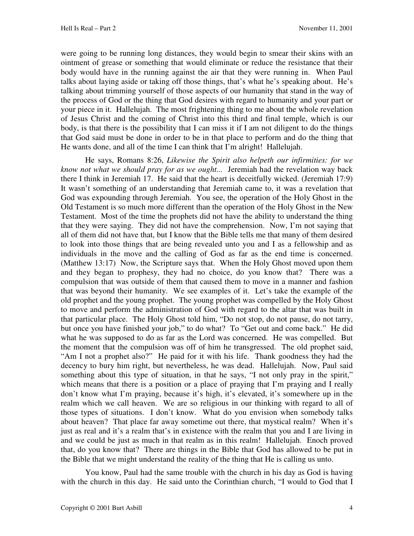were going to be running long distances, they would begin to smear their skins with an ointment of grease or something that would eliminate or reduce the resistance that their body would have in the running against the air that they were running in. When Paul talks about laying aside or taking off those things, that's what he's speaking about. He's talking about trimming yourself of those aspects of our humanity that stand in the way of the process of God or the thing that God desires with regard to humanity and your part or your piece in it. Hallelujah. The most frightening thing to me about the whole revelation of Jesus Christ and the coming of Christ into this third and final temple, which is our body, is that there is the possibility that I can miss it if I am not diligent to do the things that God said must be done in order to be in that place to perform and do the thing that He wants done, and all of the time I can think that I'm alright! Hallelujah.

 He says, Romans 8:26, *Likewise the Spirit also helpeth our infirmities: for we know not what we should pray for as we ought...* Jeremiah had the revelation way back there I think in Jeremiah 17. He said that the heart is deceitfully wicked. (Jeremiah 17:9) It wasn't something of an understanding that Jeremiah came to, it was a revelation that God was expounding through Jeremiah. You see, the operation of the Holy Ghost in the Old Testament is so much more different than the operation of the Holy Ghost in the New Testament. Most of the time the prophets did not have the ability to understand the thing that they were saying. They did not have the comprehension. Now, I'm not saying that all of them did not have that, but I know that the Bible tells me that many of them desired to look into those things that are being revealed unto you and I as a fellowship and as individuals in the move and the calling of God as far as the end time is concerned. (Matthew 13:17) Now, the Scripture says that. When the Holy Ghost moved upon them and they began to prophesy, they had no choice, do you know that? There was a compulsion that was outside of them that caused them to move in a manner and fashion that was beyond their humanity. We see examples of it. Let's take the example of the old prophet and the young prophet. The young prophet was compelled by the Holy Ghost to move and perform the administration of God with regard to the altar that was built in that particular place. The Holy Ghost told him, "Do not stop, do not pause, do not tarry, but once you have finished your job," to do what? To "Get out and come back." He did what he was supposed to do as far as the Lord was concerned. He was compelled. But the moment that the compulsion was off of him he transgressed. The old prophet said, "Am I not a prophet also?" He paid for it with his life. Thank goodness they had the decency to bury him right, but nevertheless, he was dead. Hallelujah. Now, Paul said something about this type of situation, in that he says, "I not only pray in the spirit," which means that there is a position or a place of praying that I'm praying and I really don't know what I'm praying, because it's high, it's elevated, it's somewhere up in the realm which we call heaven. We are so religious in our thinking with regard to all of those types of situations. I don't know. What do you envision when somebody talks about heaven? That place far away sometime out there, that mystical realm? When it's just as real and it's a realm that's in existence with the realm that you and I are living in and we could be just as much in that realm as in this realm! Hallelujah. Enoch proved that, do you know that? There are things in the Bible that God has allowed to be put in the Bible that we might understand the reality of the thing that He is calling us unto.

 You know, Paul had the same trouble with the church in his day as God is having with the church in this day. He said unto the Corinthian church, "I would to God that I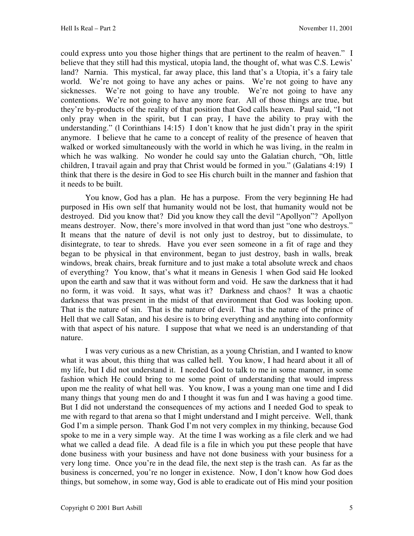could express unto you those higher things that are pertinent to the realm of heaven." I believe that they still had this mystical, utopia land, the thought of, what was C.S. Lewis' land? Narnia. This mystical, far away place, this land that's a Utopia, it's a fairy tale world. We're not going to have any aches or pains. We're not going to have any sicknesses. We're not going to have any trouble. We're not going to have any contentions. We're not going to have any more fear. All of those things are true, but they're by-products of the reality of that position that God calls heaven. Paul said, "I not only pray when in the spirit, but I can pray, I have the ability to pray with the understanding." (l Corinthians 14:15) I don't know that he just didn't pray in the spirit anymore. I believe that he came to a concept of reality of the presence of heaven that walked or worked simultaneously with the world in which he was living, in the realm in which he was walking. No wonder he could say unto the Galatian church, "Oh, little children, I travail again and pray that Christ would be formed in you." (Galatians 4:19) I think that there is the desire in God to see His church built in the manner and fashion that it needs to be built.

 You know, God has a plan. He has a purpose. From the very beginning He had purposed in His own self that humanity would not be lost, that humanity would not be destroyed. Did you know that? Did you know they call the devil "Apollyon"? Apollyon means destroyer. Now, there's more involved in that word than just "one who destroys." It means that the nature of devil is not only just to destroy, but to dissimulate, to disintegrate, to tear to shreds. Have you ever seen someone in a fit of rage and they began to be physical in that environment, began to just destroy, bash in walls, break windows, break chairs, break furniture and to just make a total absolute wreck and chaos of everything? You know, that's what it means in Genesis 1 when God said He looked upon the earth and saw that it was without form and void. He saw the darkness that it had no form, it was void. It says, what was it? Darkness and chaos? It was a chaotic darkness that was present in the midst of that environment that God was looking upon. That is the nature of sin. That is the nature of devil. That is the nature of the prince of Hell that we call Satan, and his desire is to bring everything and anything into conformity with that aspect of his nature. I suppose that what we need is an understanding of that nature.

 I was very curious as a new Christian, as a young Christian, and I wanted to know what it was about, this thing that was called hell. You know, I had heard about it all of my life, but I did not understand it. I needed God to talk to me in some manner, in some fashion which He could bring to me some point of understanding that would impress upon me the reality of what hell was. You know, I was a young man one time and I did many things that young men do and I thought it was fun and I was having a good time. But I did not understand the consequences of my actions and I needed God to speak to me with regard to that arena so that I might understand and I might perceive. Well, thank God I'm a simple person. Thank God I'm not very complex in my thinking, because God spoke to me in a very simple way. At the time I was working as a file clerk and we had what we called a dead file. A dead file is a file in which you put these people that have done business with your business and have not done business with your business for a very long time. Once you're in the dead file, the next step is the trash can. As far as the business is concerned, you're no longer in existence. Now, I don't know how God does things, but somehow, in some way, God is able to eradicate out of His mind your position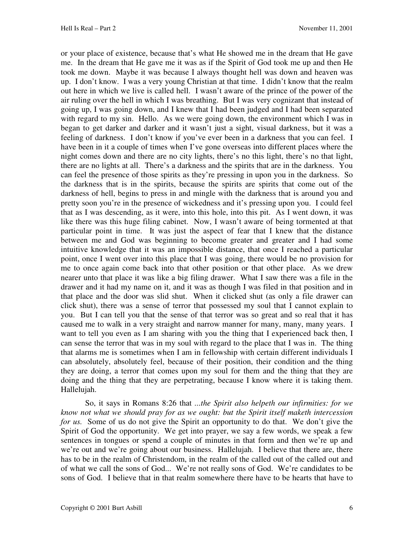or your place of existence, because that's what He showed me in the dream that He gave me. In the dream that He gave me it was as if the Spirit of God took me up and then He took me down. Maybe it was because I always thought hell was down and heaven was up. I don't know. I was a very young Christian at that time. I didn't know that the realm out here in which we live is called hell. I wasn't aware of the prince of the power of the air ruling over the hell in which I was breathing. But I was very cognizant that instead of going up, I was going down, and I knew that I had been judged and I had been separated with regard to my sin. Hello. As we were going down, the environment which I was in began to get darker and darker and it wasn't just a sight, visual darkness, but it was a feeling of darkness. I don't know if you've ever been in a darkness that you can feel. I have been in it a couple of times when I've gone overseas into different places where the night comes down and there are no city lights, there's no this light, there's no that light, there are no lights at all. There's a darkness and the spirits that are in the darkness. You can feel the presence of those spirits as they're pressing in upon you in the darkness. So the darkness that is in the spirits, because the spirits are spirits that come out of the darkness of hell, begins to press in and mingle with the darkness that is around you and pretty soon you're in the presence of wickedness and it's pressing upon you. I could feel that as I was descending, as it were, into this hole, into this pit. As I went down, it was like there was this huge filing cabinet. Now, I wasn't aware of being tormented at that particular point in time. It was just the aspect of fear that I knew that the distance between me and God was beginning to become greater and greater and I had some intuitive knowledge that it was an impossible distance, that once I reached a particular point, once I went over into this place that I was going, there would be no provision for me to once again come back into that other position or that other place. As we drew nearer unto that place it was like a big filing drawer. What I saw there was a file in the drawer and it had my name on it, and it was as though I was filed in that position and in that place and the door was slid shut. When it clicked shut (as only a file drawer can click shut), there was a sense of terror that possessed my soul that I cannot explain to you. But I can tell you that the sense of that terror was so great and so real that it has caused me to walk in a very straight and narrow manner for many, many, many years. I want to tell you even as I am sharing with you the thing that I experienced back then, I can sense the terror that was in my soul with regard to the place that I was in. The thing that alarms me is sometimes when I am in fellowship with certain different individuals I can absolutely, absolutely feel, because of their position, their condition and the thing they are doing, a terror that comes upon my soul for them and the thing that they are doing and the thing that they are perpetrating, because I know where it is taking them. Hallelujah.

 So, it says in Romans 8:26 that *...the Spirit also helpeth our infirmities: for we know not what we should pray for as we ought: but the Spirit itself maketh intercession for us.* Some of us do not give the Spirit an opportunity to do that. We don't give the Spirit of God the opportunity. We get into prayer, we say a few words, we speak a few sentences in tongues or spend a couple of minutes in that form and then we're up and we're out and we're going about our business. Hallelujah. I believe that there are, there has to be in the realm of Christendom, in the realm of the called out of the called out and of what we call the sons of God... We're not really sons of God. We're candidates to be sons of God. I believe that in that realm somewhere there have to be hearts that have to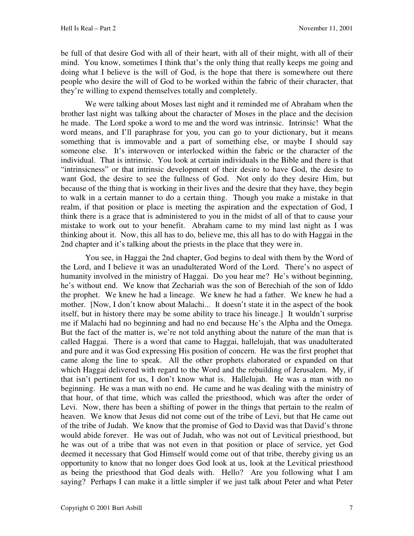be full of that desire God with all of their heart, with all of their might, with all of their mind. You know, sometimes I think that's the only thing that really keeps me going and doing what I believe is the will of God, is the hope that there is somewhere out there people who desire the will of God to be worked within the fabric of their character, that they're willing to expend themselves totally and completely.

 We were talking about Moses last night and it reminded me of Abraham when the brother last night was talking about the character of Moses in the place and the decision he made. The Lord spoke a word to me and the word was intrinsic. Intrinsic! What the word means, and I'll paraphrase for you, you can go to your dictionary, but it means something that is immovable and a part of something else, or maybe I should say someone else. It's interwoven or interlocked within the fabric or the character of the individual. That is intrinsic. You look at certain individuals in the Bible and there is that "intrinsicness" or that intrinsic development of their desire to have God, the desire to want God, the desire to see the fullness of God. Not only do they desire Him, but because of the thing that is working in their lives and the desire that they have, they begin to walk in a certain manner to do a certain thing. Though you make a mistake in that realm, if that position or place is meeting the aspiration and the expectation of God, I think there is a grace that is administered to you in the midst of all of that to cause your mistake to work out to your benefit. Abraham came to my mind last night as I was thinking about it. Now, this all has to do, believe me, this all has to do with Haggai in the 2nd chapter and it's talking about the priests in the place that they were in.

 You see, in Haggai the 2nd chapter, God begins to deal with them by the Word of the Lord, and I believe it was an unadulterated Word of the Lord. There's no aspect of humanity involved in the ministry of Haggai. Do you hear me? He's without beginning, he's without end. We know that Zechariah was the son of Berechiah of the son of Iddo the prophet. We knew he had a lineage. We knew he had a father. We knew he had a mother. [Now, I don't know about Malachi... It doesn't state it in the aspect of the book itself, but in history there may be some ability to trace his lineage.] It wouldn't surprise me if Malachi had no beginning and had no end because He's the Alpha and the Omega. But the fact of the matter is, we're not told anything about the nature of the man that is called Haggai. There is a word that came to Haggai, hallelujah, that was unadulterated and pure and it was God expressing His position of concern. He was the first prophet that came along the line to speak. All the other prophets elaborated or expanded on that which Haggai delivered with regard to the Word and the rebuilding of Jerusalem. My, if that isn't pertinent for us, I don't know what is. Hallelujah. He was a man with no beginning. He was a man with no end. He came and he was dealing with the ministry of that hour, of that time, which was called the priesthood, which was after the order of Levi. Now, there has been a shifting of power in the things that pertain to the realm of heaven. We know that Jesus did not come out of the tribe of Levi, but that He came out of the tribe of Judah. We know that the promise of God to David was that David's throne would abide forever. He was out of Judah, who was not out of Levitical priesthood, but he was out of a tribe that was not even in that position or place of service, yet God deemed it necessary that God Himself would come out of that tribe, thereby giving us an opportunity to know that no longer does God look at us, look at the Levitical priesthood as being the priesthood that God deals with. Hello? Are you following what I am saying? Perhaps I can make it a little simpler if we just talk about Peter and what Peter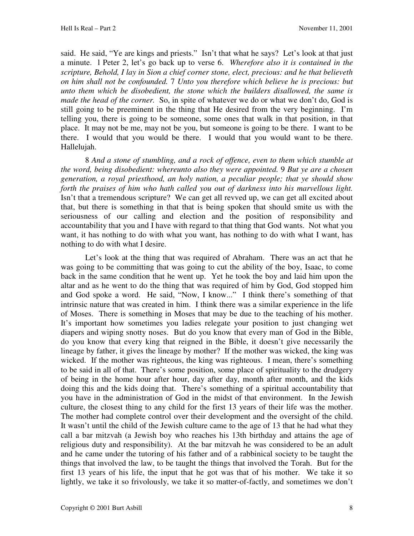said. He said, "Ye are kings and priests." Isn't that what he says? Let's look at that just a minute. l Peter 2, let's go back up to verse 6. *Wherefore also it is contained in the scripture, Behold, I lay in Sion a chief corner stone, elect, precious: and he that believeth on him shall not be confounded.* 7 *Unto you therefore which believe he is precious: but unto them which be disobedient, the stone which the builders disallowed, the same is made the head of the corner.* So, in spite of whatever we do or what we don't do, God is still going to be preeminent in the thing that He desired from the very beginning. I'm telling you, there is going to be someone, some ones that walk in that position, in that place. It may not be me, may not be you, but someone is going to be there. I want to be there. I would that you would be there. I would that you would want to be there. Hallelujah.

 8 *And a stone of stumbling, and a rock of offence, even to them which stumble at the word, being disobedient: whereunto also they were appointed.* 9 *But ye are a chosen generation, a royal priesthood, an holy nation, a peculiar people; that ye should show forth the praises of him who hath called you out of darkness into his marvellous light.*  Isn't that a tremendous scripture? We can get all revved up, we can get all excited about that, but there is something in that that is being spoken that should smite us with the seriousness of our calling and election and the position of responsibility and accountability that you and I have with regard to that thing that God wants. Not what you want, it has nothing to do with what you want, has nothing to do with what I want, has nothing to do with what I desire.

Let's look at the thing that was required of Abraham. There was an act that he was going to be committing that was going to cut the ability of the boy, Isaac, to come back in the same condition that he went up. Yet he took the boy and laid him upon the altar and as he went to do the thing that was required of him by God, God stopped him and God spoke a word. He said, "Now, I know..." I think there's something of that intrinsic nature that was created in him. I think there was a similar experience in the life of Moses. There is something in Moses that may be due to the teaching of his mother. It's important how sometimes you ladies relegate your position to just changing wet diapers and wiping snotty noses. But do you know that every man of God in the Bible, do you know that every king that reigned in the Bible, it doesn't give necessarily the lineage by father, it gives the lineage by mother? If the mother was wicked, the king was wicked. If the mother was righteous, the king was righteous. I mean, there's something to be said in all of that. There's some position, some place of spirituality to the drudgery of being in the home hour after hour, day after day, month after month, and the kids doing this and the kids doing that. There's something of a spiritual accountability that you have in the administration of God in the midst of that environment. In the Jewish culture, the closest thing to any child for the first 13 years of their life was the mother. The mother had complete control over their development and the oversight of the child. It wasn't until the child of the Jewish culture came to the age of 13 that he had what they call a bar mitzvah (a Jewish boy who reaches his 13th birthday and attains the age of religious duty and responsibility). At the bar mitzvah he was considered to be an adult and he came under the tutoring of his father and of a rabbinical society to be taught the things that involved the law, to be taught the things that involved the Torah. But for the first 13 years of his life, the input that he got was that of his mother. We take it so lightly, we take it so frivolously, we take it so matter-of-factly, and sometimes we don't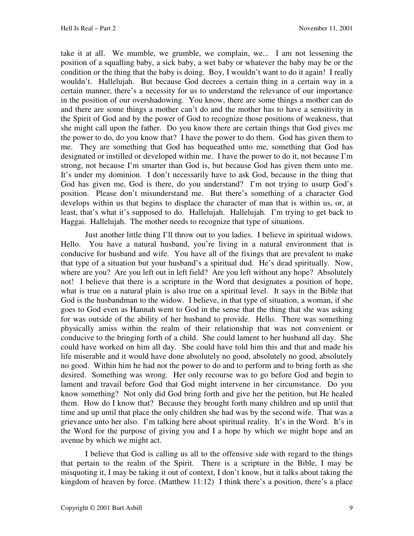take it at all. We mumble, we grumble, we complain, we... I am not lessening the position of a squalling baby, a sick baby, a wet baby or whatever the baby may be or the condition or the thing that the baby is doing. Boy, I wouldn't want to do it again! I really wouldn't. Hallelujah. But because God decrees a certain thing in a certain way in a certain manner, there's a necessity for us to understand the relevance of our importance in the position of our overshadowing. You know, there are some things a mother can do and there are some things a mother can't do and the mother has to have a sensitivity in the Spirit of God and by the power of God to recognize those positions of weakness, that she might call upon the father. Do you know there are certain things that God gives me the power to do, do you know that? I have the power to do them. God has given them to me. They are something that God has bequeathed unto me, something that God has designated or instilled or developed within me. I have the power to do it, not because I'm strong, not because I'm smarter than God is, but because God has given them unto me. It's under my dominion. I don't necessarily have to ask God, because in the thing that God has given me, God is there, do you understand? I'm not trying to usurp God's position. Please don't misunderstand me. But there's something of a character God develops within us that begins to displace the character of man that is within us, or, at least, that's what it's supposed to do. Hallelujah. Hallelujah. I'm trying to get back to Haggai. Hallelujah. The mother needs to recognize that type of situations.

 Just another little thing I'll throw out to you ladies. I believe in spiritual widows. Hello. You have a natural husband, you're living in a natural environment that is conducive for husband and wife. You have all of the fixings that are prevalent to make that type of a situation but your husband's a spiritual dud. He's dead spiritually. Now, where are you? Are you left out in left field? Are you left without any hope? Absolutely not! I believe that there is a scripture in the Word that designates a position of hope, what is true on a natural plain is also true on a spiritual level. It says in the Bible that God is the husbandman to the widow. I believe, in that type of situation, a woman, if she goes to God even as Hannah went to God in the sense that the thing that she was asking for was outside of the ability of her husband to provide. Hello. There was something physically amiss within the realm of their relationship that was not convenient or conducive to the bringing forth of a child. She could lament to her husband all day. She could have worked on him all day. She could have told him this and that and made his life miserable and it would have done absolutely no good, absolutely no good, absolutely no good. Within him he had not the power to do and to perform and to bring forth as she desired. Something was wrong. Her only recourse was to go before God and begin to lament and travail before God that God might intervene in her circumstance. Do you know something? Not only did God bring forth and give her the petition, but He healed them. How do I know that? Because they brought forth many children and up until that time and up until that place the only children she had was by the second wife. That was a grievance unto her also. I'm talking here about spiritual reality. It's in the Word. It's in the Word for the purpose of giving you and I a hope by which we might hope and an avenue by which we might act.

 I believe that God is calling us all to the offensive side with regard to the things that pertain to the realm of the Spirit. There is a scripture in the Bible, I may be misquoting it, I may be taking it out of context, I don't know, but it talks about taking the kingdom of heaven by force. (Matthew 11:12) I think there's a position, there's a place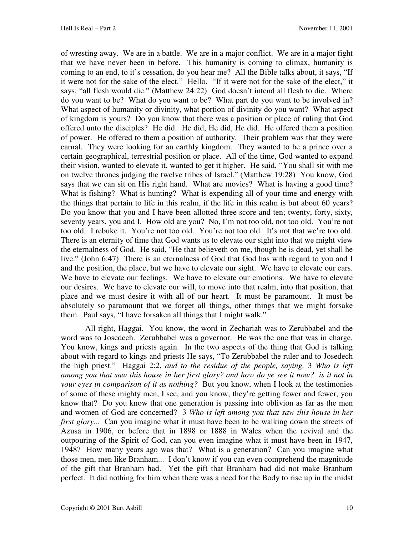of wresting away. We are in a battle. We are in a major conflict. We are in a major fight that we have never been in before. This humanity is coming to climax, humanity is coming to an end, to it's cessation, do you hear me? All the Bible talks about, it says, "If it were not for the sake of the elect." Hello. "If it were not for the sake of the elect," it says, "all flesh would die." (Matthew 24:22) God doesn't intend all flesh to die. Where do you want to be? What do you want to be? What part do you want to be involved in? What aspect of humanity or divinity, what portion of divinity do you want? What aspect of kingdom is yours? Do you know that there was a position or place of ruling that God offered unto the disciples? He did. He did, He did, He did. He offered them a position of power. He offered to them a position of authority. Their problem was that they were carnal. They were looking for an earthly kingdom. They wanted to be a prince over a certain geographical, terrestrial position or place. All of the time, God wanted to expand their vision, wanted to elevate it, wanted to get it higher. He said, "You shall sit with me on twelve thrones judging the twelve tribes of Israel." (Matthew 19:28) You know, God says that we can sit on His right hand. What are movies? What is having a good time? What is fishing? What is hunting? What is expending all of your time and energy with the things that pertain to life in this realm, if the life in this realm is but about 60 years? Do you know that you and I have been allotted three score and ten; twenty, forty, sixty, seventy years, you and I. How old are you? No, I'm not too old, not too old. You're not too old. I rebuke it. You're not too old. You're not too old. It's not that we're too old. There is an eternity of time that God wants us to elevate our sight into that we might view the eternalness of God. He said, "He that believeth on me, though he is dead, yet shall he live." (John 6:47) There is an eternalness of God that God has with regard to you and I and the position, the place, but we have to elevate our sight. We have to elevate our ears. We have to elevate our feelings. We have to elevate our emotions. We have to elevate our desires. We have to elevate our will, to move into that realm, into that position, that place and we must desire it with all of our heart. It must be paramount. It must be absolutely so paramount that we forget all things, other things that we might forsake them. Paul says, "I have forsaken all things that I might walk."

 All right, Haggai. You know, the word in Zechariah was to Zerubbabel and the word was to Josedech. Zerubbabel was a governor. He was the one that was in charge. You know, kings and priests again. In the two aspects of the thing that God is talking about with regard to kings and priests He says, "To Zerubbabel the ruler and to Josedech the high priest." Haggai 2:2, *and to the residue of the people, saying,* 3 *Who is left among you that saw this house in her first glory? and how do ye see it now? is it not in your eyes in comparison of it as nothing?* But you know, when I look at the testimonies of some of these mighty men, I see, and you know, they're getting fewer and fewer, you know that? Do you know that one generation is passing into oblivion as far as the men and women of God are concerned? 3 *Who is left among you that saw this house in her first glory...* Can you imagine what it must have been to be walking down the streets of Azusa in 1906, or before that in 1898 or 1888 in Wales when the revival and the outpouring of the Spirit of God, can you even imagine what it must have been in 1947, 1948? How many years ago was that? What is a generation? Can you imagine what those men, men like Branham... I don't know if you can even comprehend the magnitude of the gift that Branham had. Yet the gift that Branham had did not make Branham perfect. It did nothing for him when there was a need for the Body to rise up in the midst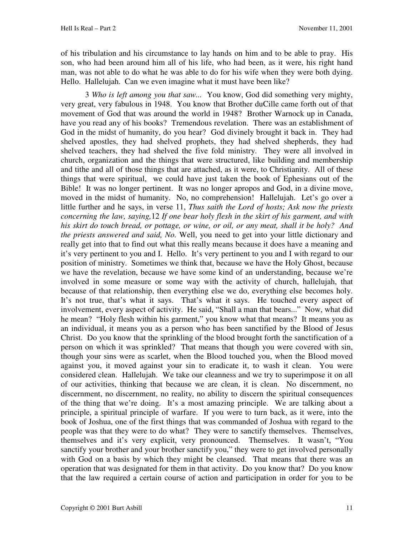of his tribulation and his circumstance to lay hands on him and to be able to pray. His son, who had been around him all of his life, who had been, as it were, his right hand man, was not able to do what he was able to do for his wife when they were both dying. Hello. Hallelujah. Can we even imagine what it must have been like?

 3 *Who is left among you that saw...* You know, God did something very mighty, very great, very fabulous in 1948. You know that Brother duCille came forth out of that movement of God that was around the world in 1948? Brother Warnock up in Canada, have you read any of his books? Tremendous revelation. There was an establishment of God in the midst of humanity, do you hear? God divinely brought it back in. They had shelved apostles, they had shelved prophets, they had shelved shepherds, they had shelved teachers, they had shelved the five fold ministry. They were all involved in church, organization and the things that were structured, like building and membership and tithe and all of those things that are attached, as it were, to Christianity. All of these things that were spiritual, we could have just taken the book of Ephesians out of the Bible! It was no longer pertinent. It was no longer apropos and God, in a divine move, moved in the midst of humanity. No, no comprehension! Hallelujah. Let's go over a little further and he says, in verse 11, *Thus saith the Lord of hosts; Ask now the priests concerning the law, saying,*12 *If one bear holy flesh in the skirt of his garment, and with his skirt do touch bread, or pottage, or wine, or oil, or any meat, shall it be holy? And the priests answered and said, No.* Well, you need to get into your little dictionary and really get into that to find out what this really means because it does have a meaning and it's very pertinent to you and I. Hello. It's very pertinent to you and I with regard to our position of ministry. Sometimes we think that, because we have the Holy Ghost, because we have the revelation, because we have some kind of an understanding, because we're involved in some measure or some way with the activity of church, hallelujah, that because of that relationship, then everything else we do, everything else becomes holy. It's not true, that's what it says. That's what it says. He touched every aspect of involvement, every aspect of activity. He said, "Shall a man that bears..." Now, what did he mean? "Holy flesh within his garment," you know what that means? It means you as an individual, it means you as a person who has been sanctified by the Blood of Jesus Christ. Do you know that the sprinkling of the blood brought forth the sanctification of a person on which it was sprinkled? That means that though you were covered with sin, though your sins were as scarlet, when the Blood touched you, when the Blood moved against you, it moved against your sin to eradicate it, to wash it clean. You were considered clean. Hallelujah. We take our cleanness and we try to superimpose it on all of our activities, thinking that because we are clean, it is clean. No discernment, no discernment, no discernment, no reality, no ability to discern the spiritual consequences of the thing that we're doing. It's a most amazing principle. We are talking about a principle, a spiritual principle of warfare. If you were to turn back, as it were, into the book of Joshua, one of the first things that was commanded of Joshua with regard to the people was that they were to do what? They were to sanctify themselves. Themselves, themselves and it's very explicit, very pronounced. Themselves. It wasn't, "You sanctify your brother and your brother sanctify you," they were to get involved personally with God on a basis by which they might be cleansed. That means that there was an operation that was designated for them in that activity. Do you know that? Do you know that the law required a certain course of action and participation in order for you to be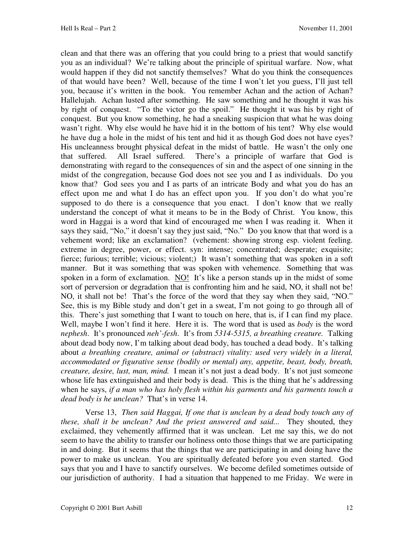clean and that there was an offering that you could bring to a priest that would sanctify you as an individual? We're talking about the principle of spiritual warfare. Now, what would happen if they did not sanctify themselves? What do you think the consequences of that would have been? Well, because of the time I won't let you guess, I'll just tell you, because it's written in the book. You remember Achan and the action of Achan? Hallelujah. Achan lusted after something. He saw something and he thought it was his by right of conquest. "To the victor go the spoil." He thought it was his by right of conquest. But you know something, he had a sneaking suspicion that what he was doing wasn't right. Why else would he have hid it in the bottom of his tent? Why else would he have dug a hole in the midst of his tent and hid it as though God does not have eyes? His uncleanness brought physical defeat in the midst of battle. He wasn't the only one that suffered. All Israel suffered. There's a principle of warfare that God is demonstrating with regard to the consequences of sin and the aspect of one sinning in the midst of the congregation, because God does not see you and I as individuals. Do you know that? God sees you and I as parts of an intricate Body and what you do has an effect upon me and what I do has an effect upon you. If you don't do what you're supposed to do there is a consequence that you enact. I don't know that we really understand the concept of what it means to be in the Body of Christ. You know, this word in Haggai is a word that kind of encouraged me when I was reading it. When it says they said, "No," it doesn't say they just said, "No." Do you know that that word is a vehement word; like an exclamation? (vehement: showing strong esp. violent feeling. extreme in degree, power, or effect. syn: intense; concentrated; desperate; exquisite; fierce; furious; terrible; vicious; violent;) It wasn't something that was spoken in a soft manner. But it was something that was spoken with vehemence. Something that was spoken in a form of exclamation. NO! It's like a person stands up in the midst of some sort of perversion or degradation that is confronting him and he said, NO, it shall not be! NO, it shall not be! That's the force of the word that they say when they said, "NO." See, this is my Bible study and don't get in a sweat, I'm not going to go through all of this. There's just something that I want to touch on here, that is, if I can find my place. Well, maybe I won't find it here. Here it is. The word that is used as *body* is the word *nephesh*. It's pronounced *neh'-fesh*. It's from *5314-5315, a breathing creature.* Talking about dead body now, I'm talking about dead body, has touched a dead body. It's talking about *a breathing creature, animal or (abstract) vitality: used very widely in a literal, accommodated or figurative sense (bodily or mental) any, appetite, beast, body, breath, creature, desire, lust, man, mind.* I mean it's not just a dead body. It's not just someone whose life has extinguished and their body is dead. This is the thing that he's addressing when he says, *if a man who has holy flesh within his garments and his garments touch a dead body is he unclean?* That's in verse 14.

 Verse 13, *Then said Haggai, If one that is unclean by a dead body touch any of these, shall it be unclean? And the priest answered and said...* They shouted, they exclaimed, they vehemently affirmed that it was unclean. Let me say this, we do not seem to have the ability to transfer our holiness onto those things that we are participating in and doing. But it seems that the things that we are participating in and doing have the power to make us unclean. You are spiritually defeated before you even started. God says that you and I have to sanctify ourselves. We become defiled sometimes outside of our jurisdiction of authority. I had a situation that happened to me Friday. We were in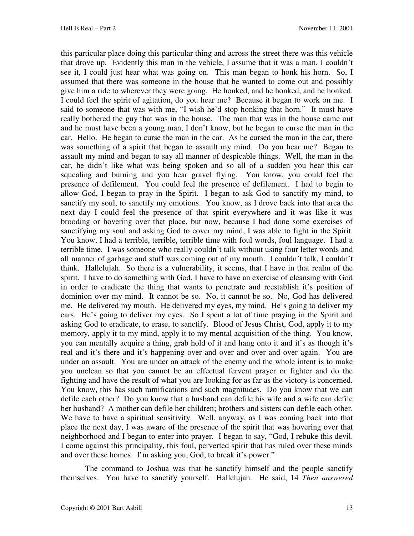this particular place doing this particular thing and across the street there was this vehicle that drove up. Evidently this man in the vehicle, I assume that it was a man, I couldn't see it, I could just hear what was going on. This man began to honk his horn. So, I assumed that there was someone in the house that he wanted to come out and possibly give him a ride to wherever they were going. He honked, and he honked, and he honked. I could feel the spirit of agitation, do you hear me? Because it began to work on me. I said to someone that was with me, "I wish he'd stop honking that horn." It must have really bothered the guy that was in the house. The man that was in the house came out and he must have been a young man, I don't know, but he began to curse the man in the car. Hello. He began to curse the man in the car. As he cursed the man in the car, there was something of a spirit that began to assault my mind. Do you hear me? Began to assault my mind and began to say all manner of despicable things. Well, the man in the car, he didn't like what was being spoken and so all of a sudden you hear this car squealing and burning and you hear gravel flying. You know, you could feel the presence of defilement. You could feel the presence of defilement. I had to begin to allow God, I began to pray in the Spirit. I began to ask God to sanctify my mind, to sanctify my soul, to sanctify my emotions. You know, as I drove back into that area the next day I could feel the presence of that spirit everywhere and it was like it was brooding or hovering over that place, but now, because I had done some exercises of sanctifying my soul and asking God to cover my mind, I was able to fight in the Spirit. You know, I had a terrible, terrible, terrible time with foul words, foul language. I had a terrible time. I was someone who really couldn't talk without using four letter words and all manner of garbage and stuff was coming out of my mouth. I couldn't talk, I couldn't think. Hallelujah. So there is a vulnerability, it seems, that I have in that realm of the spirit. I have to do something with God, I have to have an exercise of cleansing with God in order to eradicate the thing that wants to penetrate and reestablish it's position of dominion over my mind. It cannot be so. No, it cannot be so. No, God has delivered me. He delivered my mouth. He delivered my eyes, my mind. He's going to deliver my ears. He's going to deliver my eyes. So I spent a lot of time praying in the Spirit and asking God to eradicate, to erase, to sanctify. Blood of Jesus Christ, God, apply it to my memory, apply it to my mind, apply it to my mental acquisition of the thing. You know, you can mentally acquire a thing, grab hold of it and hang onto it and it's as though it's real and it's there and it's happening over and over and over and over again. You are under an assault. You are under an attack of the enemy and the whole intent is to make you unclean so that you cannot be an effectual fervent prayer or fighter and do the fighting and have the result of what you are looking for as far as the victory is concerned. You know, this has such ramifications and such magnitudes. Do you know that we can defile each other? Do you know that a husband can defile his wife and a wife can defile her husband? A mother can defile her children; brothers and sisters can defile each other. We have to have a spiritual sensitivity. Well, anyway, as I was coming back into that place the next day, I was aware of the presence of the spirit that was hovering over that neighborhood and I began to enter into prayer. I began to say, "God, I rebuke this devil. I come against this principality, this foul, perverted spirit that has ruled over these minds and over these homes. I'm asking you, God, to break it's power."

 The command to Joshua was that he sanctify himself and the people sanctify themselves. You have to sanctify yourself. Hallelujah. He said, 14 *Then answered*